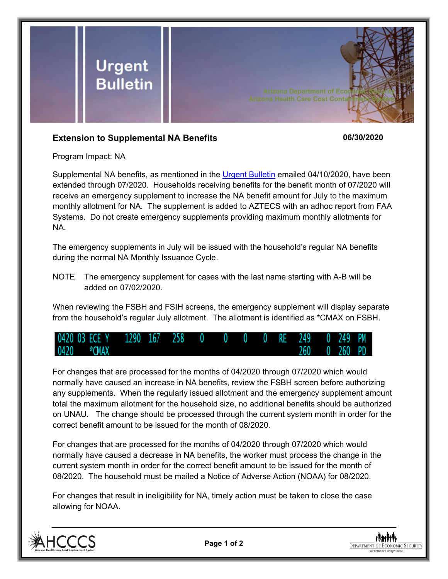

## **Extension to Supplemental NA Benefits 06/30/2020**

Program Impact: NA

Supplemental NA benefits, as mentioned in the [Urgent Bulletin](https://dbmefaapolicy.azdes.gov/FAA5/baggage/Urgent%20Bulletin%20(04-10-2020)%20-%20Supplemental%20Nutrition%20Assistance%20Benefits%20for%20Participants.pdf) emailed 04/10/2020, have been extended through 07/2020. Households receiving benefits for the benefit month of 07/2020 will receive an emergency supplement to increase the NA benefit amount for July to the maximum monthly allotment for NA. The supplement is added to AZTECS with an adhoc report from FAA Systems. Do not create emergency supplements providing maximum monthly allotments for NA.

The emergency supplements in July will be issued with the household's regular NA benefits during the normal NA Monthly Issuance Cycle.

NOTE The emergency supplement for cases with the last name starting with A-B will be added on 07/02/2020.

When reviewing the FSBH and FSIH screens, the emergency supplement will display separate from the household's regular July allotment. The allotment is identified as \*CMAX on FSBH.



For changes that are processed for the months of 04/2020 through 07/2020 which would normally have caused an increase in NA benefits, review the FSBH screen before authorizing any supplements. When the regularly issued allotment and the emergency supplement amount total the maximum allotment for the household size, no additional benefits should be authorized on UNAU. The change should be processed through the current system month in order for the correct benefit amount to be issued for the month of 08/2020.

For changes that are processed for the months of 04/2020 through 07/2020 which would normally have caused a decrease in NA benefits, the worker must process the change in the current system month in order for the correct benefit amount to be issued for the month of 08/2020. The household must be mailed a Notice of Adverse Action (NOAA) for 08/2020.

For changes that result in ineligibility for NA, timely action must be taken to close the case allowing for NOAA.